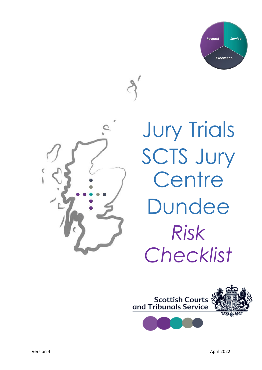



**Jury Trials** SCTS Jury Centre Dundee *Risk Checklist*

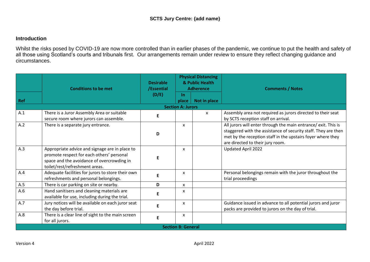## **Introduction**

Whilst the risks posed by COVID-19 are now more controlled than in earlier phases of the pandemic, we continue to put the health and safety of all those using Scotland's courts and tribunals first. Our arrangements remain under review to ensure they reflect changing guidance and circumstances.

|                           | <b>Conditions to be met</b>                                                                                                                                                 | <b>Desirable</b><br>/Essential | <b>Physical Distancing</b><br>& Public Health<br><b>Adherence</b> |              | <b>Comments / Notes</b>                                                                                                                                                                                                             |  |  |  |
|---------------------------|-----------------------------------------------------------------------------------------------------------------------------------------------------------------------------|--------------------------------|-------------------------------------------------------------------|--------------|-------------------------------------------------------------------------------------------------------------------------------------------------------------------------------------------------------------------------------------|--|--|--|
| Ref                       |                                                                                                                                                                             | (D/E)                          | $\mathsf{In}$<br>place                                            | Not in place |                                                                                                                                                                                                                                     |  |  |  |
|                           |                                                                                                                                                                             |                                | <b>Section A: Jurors</b>                                          |              |                                                                                                                                                                                                                                     |  |  |  |
| A.1                       | There is a Juror Assembly Area or suitable<br>secure room where jurors can assemble.                                                                                        | E                              |                                                                   | $\mathsf{x}$ | Assembly area not required as jurors directed to their seat<br>by SCTS reception staff on arrival.                                                                                                                                  |  |  |  |
| A.2                       | There is a separate jury entrance.                                                                                                                                          | D                              | X                                                                 |              | All jurors will enter through the main entrance/ exit. This is<br>staggered with the assistance of security staff. They are then<br>met by the reception staff in the upstairs foyer where they<br>are directed to their jury room. |  |  |  |
| A.3                       | Appropriate advice and signage are in place to<br>promote respect for each others' personal<br>space and the avoidance of overcrowding in<br>toilet/rest/refreshment areas. | Е                              | X                                                                 |              | Updated April 2022                                                                                                                                                                                                                  |  |  |  |
| A.4                       | Adequate facilities for jurors to store their own<br>refreshments and personal belongings.                                                                                  | E                              | x                                                                 |              | Personal belongings remain with the juror throughout the<br>trial proceedings                                                                                                                                                       |  |  |  |
| A.5                       | There is car parking on site or nearby.                                                                                                                                     | D                              | X                                                                 |              |                                                                                                                                                                                                                                     |  |  |  |
| A.6                       | Hand sanitisers and cleaning materials are<br>available for use, including during the trial.                                                                                | E                              | X                                                                 |              |                                                                                                                                                                                                                                     |  |  |  |
| A.7                       | Jury notices will be available on each juror seat<br>the day before trial.                                                                                                  | E                              | x                                                                 |              | Guidance issued in advance to all potential jurors and juror<br>packs are provided to jurors on the day of trial.                                                                                                                   |  |  |  |
| A.8                       | There is a clear line of sight to the main screen<br>for all jurors.                                                                                                        | E                              | x                                                                 |              |                                                                                                                                                                                                                                     |  |  |  |
| <b>Section B: General</b> |                                                                                                                                                                             |                                |                                                                   |              |                                                                                                                                                                                                                                     |  |  |  |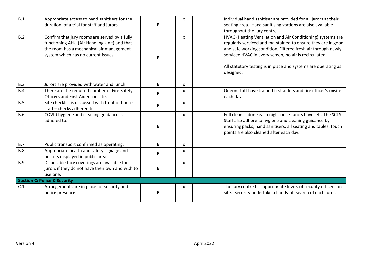| B.1                                     | Appropriate access to hand sanitisers for the<br>duration of a trial for staff and jurors.                                                                                       | E  | X            | Individual hand sanitiser are provided for all jurors at their<br>seating area. Hand sanitising stations are also available<br>throughout the jury centre.                                                                                                                                                                           |  |  |
|-----------------------------------------|----------------------------------------------------------------------------------------------------------------------------------------------------------------------------------|----|--------------|--------------------------------------------------------------------------------------------------------------------------------------------------------------------------------------------------------------------------------------------------------------------------------------------------------------------------------------|--|--|
| B.2                                     | Confirm that jury rooms are served by a fully<br>functioning AHU (Air Handling Unit) and that<br>the room has a mechanical air management<br>system which has no current issues. | E. | X            | HVAC (Heating Ventilation and Air Conditioning) systems are<br>regularly serviced and maintained to ensure they are in good<br>and safe working condition. Filtered fresh air through newly<br>serviced HVAC in every screen, no air is recirculated.<br>All statutory testing is in place and systems are operating as<br>designed. |  |  |
| B.3                                     | Jurors are provided with water and lunch.                                                                                                                                        | E  | $\mathsf{x}$ |                                                                                                                                                                                                                                                                                                                                      |  |  |
| B.4                                     | There are the required number of Fire Safety<br>Officers and First Aiders on site.                                                                                               | E  | X            | Odeon staff have trained first aiders and fire officer's onsite<br>each day.                                                                                                                                                                                                                                                         |  |  |
| B.5                                     | Site checklist is discussed with front of house<br>staff - checks adhered to.                                                                                                    | E  | X            |                                                                                                                                                                                                                                                                                                                                      |  |  |
| <b>B.6</b>                              | COVID hygiene and cleaning guidance is<br>adhered to.                                                                                                                            | E  | X            | Full clean is done each night once Jurors have left. The SCTS<br>Staff also adhere to hygiene and cleaning guidance by<br>ensuring packs, hand sanitisers, all seating and tables, touch<br>points are also cleaned after each day.                                                                                                  |  |  |
| B.7                                     | Public transport confirmed as operating.                                                                                                                                         | E  | X            |                                                                                                                                                                                                                                                                                                                                      |  |  |
| <b>B.8</b>                              | Appropriate health and safety signage and<br>posters displayed in public areas.                                                                                                  | E  | X            |                                                                                                                                                                                                                                                                                                                                      |  |  |
| <b>B.9</b>                              | Disposable face coverings are available for<br>jurors if they do not have their own and wish to<br>use one.                                                                      | E  | x            |                                                                                                                                                                                                                                                                                                                                      |  |  |
| <b>Section C: Police &amp; Security</b> |                                                                                                                                                                                  |    |              |                                                                                                                                                                                                                                                                                                                                      |  |  |
| C.1                                     | Arrangements are in place for security and<br>police presence.                                                                                                                   | E  | X            | The jury centre has appropriate levels of security officers on<br>site. Security undertake a hands-off search of each juror.                                                                                                                                                                                                         |  |  |